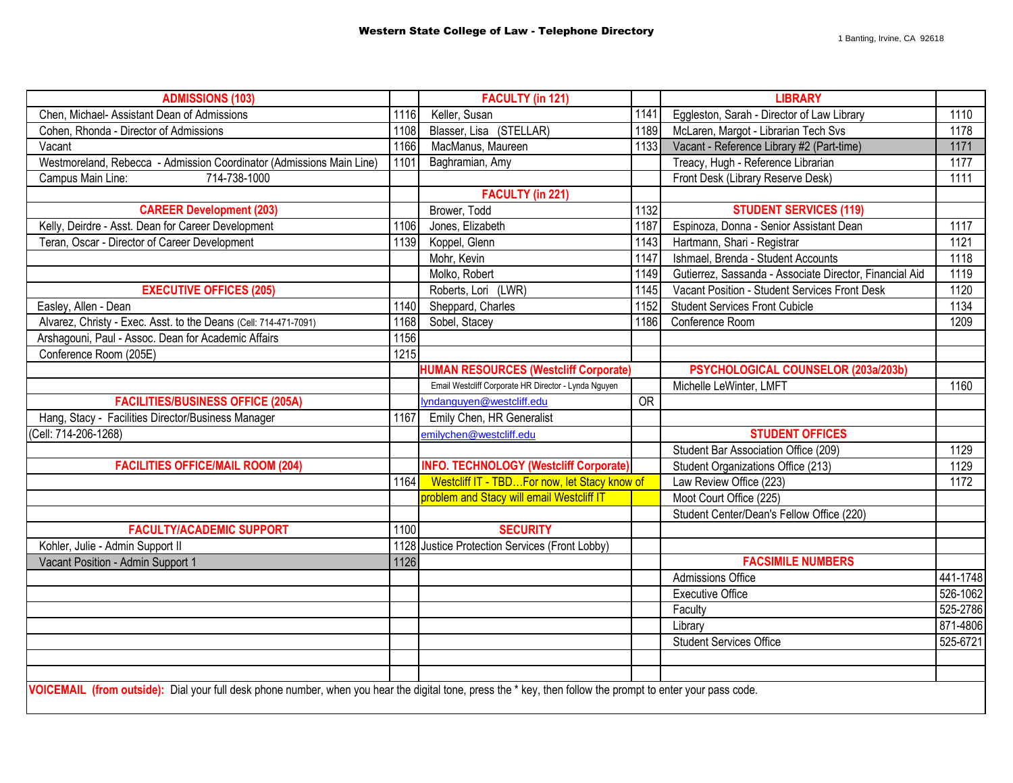| <b>ADMISSIONS (103)</b>                                                                                                                                      |      | <b>FACULTY (in 121)</b>                              |                 | <b>LIBRARY</b>                                          |          |  |
|--------------------------------------------------------------------------------------------------------------------------------------------------------------|------|------------------------------------------------------|-----------------|---------------------------------------------------------|----------|--|
| Chen, Michael- Assistant Dean of Admissions                                                                                                                  | 1116 | Keller, Susan                                        | 1141            | Eggleston, Sarah - Director of Law Library<br>1110      |          |  |
| Cohen, Rhonda - Director of Admissions                                                                                                                       | 1108 | Blasser, Lisa (STELLAR)                              | 1189            | McLaren, Margot - Librarian Tech Svs<br>1178            |          |  |
| Vacant                                                                                                                                                       | 1166 | MacManus, Maureen                                    | 1133            | Vacant - Reference Library #2 (Part-time)<br>1171       |          |  |
| Westmoreland, Rebecca - Admission Coordinator (Admissions Main Line)                                                                                         | 1101 | Baghramian, Amy                                      |                 | Treacy, Hugh - Reference Librarian<br>1177              |          |  |
| 714-738-1000<br>Campus Main Line:                                                                                                                            |      |                                                      |                 | Front Desk (Library Reserve Desk)<br>1111               |          |  |
|                                                                                                                                                              |      | <b>FACULTY (in 221)</b>                              |                 |                                                         |          |  |
| <b>CAREER Development (203)</b>                                                                                                                              |      | Brower, Todd                                         | 1132            | <b>STUDENT SERVICES (119)</b>                           |          |  |
| Kelly, Deirdre - Asst. Dean for Career Development                                                                                                           | 1106 | Jones, Elizabeth                                     | 1187            | Espinoza, Donna - Senior Assistant Dean<br>1117         |          |  |
| Teran, Oscar - Director of Career Development                                                                                                                | 1139 | Koppel, Glenn                                        | 1143            | Hartmann, Shari - Registrar<br>1121                     |          |  |
|                                                                                                                                                              |      | Mohr, Kevin                                          | 1147            | Ishmael, Brenda - Student Accounts                      | 1118     |  |
|                                                                                                                                                              |      | Molko, Robert                                        | 1149            | Gutierrez, Sassanda - Associate Director, Financial Aid | 1119     |  |
| <b>EXECUTIVE OFFICES (205)</b>                                                                                                                               |      | Roberts, Lori (LWR)                                  | 1145            | Vacant Position - Student Services Front Desk           | 1120     |  |
| Easley, Allen - Dean                                                                                                                                         | 1140 | Sheppard, Charles                                    | 1152            | <b>Student Services Front Cubicle</b>                   | 1134     |  |
| Alvarez, Christy - Exec. Asst. to the Deans (Cell: 714-471-7091)                                                                                             | 1168 | Sobel, Stacey                                        | 1186            | Conference Room                                         | 1209     |  |
| Arshagouni, Paul - Assoc. Dean for Academic Affairs                                                                                                          | 1156 |                                                      |                 |                                                         |          |  |
| Conference Room (205E)                                                                                                                                       | 1215 |                                                      |                 |                                                         |          |  |
|                                                                                                                                                              |      | <b>HUMAN RESOURCES (Westcliff Corporate)</b>         |                 | PSYCHOLOGICAL COUNSELOR (203a/203b)                     |          |  |
|                                                                                                                                                              |      | Email Westcliff Corporate HR Director - Lynda Nguyen |                 | Michelle LeWinter, LMFT                                 | 1160     |  |
| <b>FACILITIES/BUSINESS OFFICE (205A)</b>                                                                                                                     |      | lyndanguyen@westcliff.edu                            | $\overline{OR}$ |                                                         |          |  |
| Hang, Stacy - Facilities Director/Business Manager                                                                                                           | 1167 | Emily Chen, HR Generalist                            |                 |                                                         |          |  |
| (Cell: 714-206-1268)                                                                                                                                         |      | emilychen@westcliff.edu                              |                 | <b>STUDENT OFFICES</b>                                  |          |  |
|                                                                                                                                                              |      |                                                      |                 | Student Bar Association Office (209)                    | 1129     |  |
| <b>FACILITIES OFFICE/MAIL ROOM (204)</b>                                                                                                                     |      | <b>INFO. TECHNOLOGY (Westcliff Corporate)</b>        |                 | Student Organizations Office (213)<br>1129              |          |  |
|                                                                                                                                                              | 1164 | Westcliff IT - TBDFor now, let Stacy know of         |                 | Law Review Office (223)<br>1172                         |          |  |
|                                                                                                                                                              |      | problem and Stacy will email Westcliff IT            |                 | Moot Court Office (225)                                 |          |  |
|                                                                                                                                                              |      |                                                      |                 | Student Center/Dean's Fellow Office (220)               |          |  |
| <b>FACULTY/ACADEMIC SUPPORT</b>                                                                                                                              | 1100 | <b>SECURITY</b>                                      |                 |                                                         |          |  |
| Kohler, Julie - Admin Support II                                                                                                                             | 1128 | Justice Protection Services (Front Lobby)            |                 |                                                         |          |  |
| Vacant Position - Admin Support 1                                                                                                                            | 1126 |                                                      |                 | <b>FACSIMILE NUMBERS</b>                                |          |  |
|                                                                                                                                                              |      |                                                      |                 | Admissions Office                                       | 441-1748 |  |
|                                                                                                                                                              |      |                                                      |                 | <b>Executive Office</b>                                 | 526-1062 |  |
|                                                                                                                                                              |      |                                                      |                 | Faculty                                                 | 525-2786 |  |
|                                                                                                                                                              |      |                                                      |                 | Library                                                 | 871-4806 |  |
|                                                                                                                                                              |      |                                                      |                 | <b>Student Services Office</b>                          | 525-6721 |  |
|                                                                                                                                                              |      |                                                      |                 |                                                         |          |  |
|                                                                                                                                                              |      |                                                      |                 |                                                         |          |  |
| VOICEMAIL (from outside): Dial your full desk phone number, when you hear the digital tone, press the * key, then follow the prompt to enter your pass code. |      |                                                      |                 |                                                         |          |  |
|                                                                                                                                                              |      |                                                      |                 |                                                         |          |  |